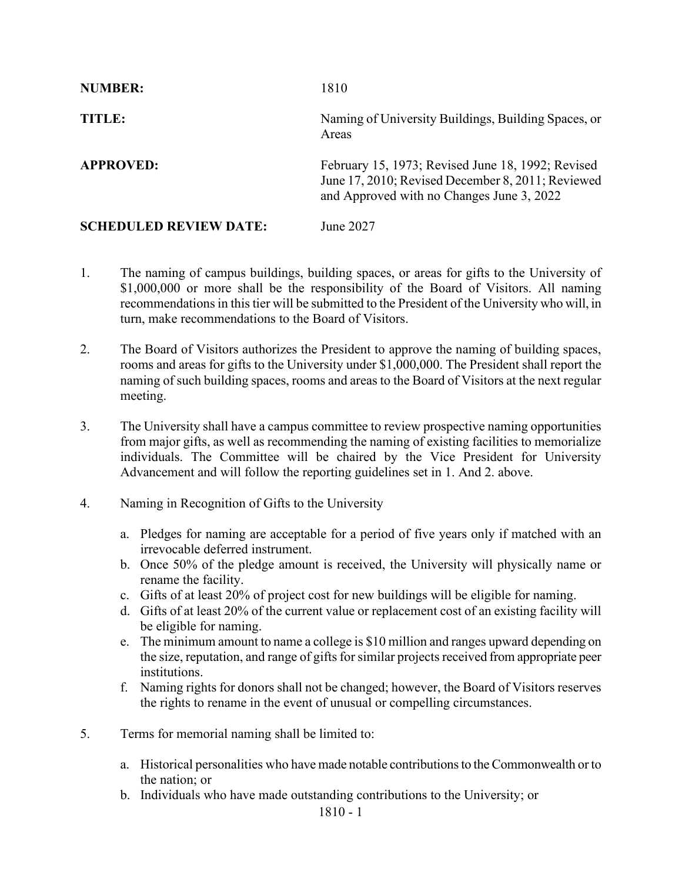| <b>NUMBER:</b>                | 1810                                                                                                                                                |
|-------------------------------|-----------------------------------------------------------------------------------------------------------------------------------------------------|
| TITLE:                        | Naming of University Buildings, Building Spaces, or<br>Areas                                                                                        |
| <b>APPROVED:</b>              | February 15, 1973; Revised June 18, 1992; Revised<br>June 17, 2010; Revised December 8, 2011; Reviewed<br>and Approved with no Changes June 3, 2022 |
| <b>SCHEDULED REVIEW DATE:</b> | June 2027                                                                                                                                           |

- 1. The naming of campus buildings, building spaces, or areas for gifts to the University of \$1,000,000 or more shall be the responsibility of the Board of Visitors. All naming recommendations in this tier will be submitted to the President of the University who will, in turn, make recommendations to the Board of Visitors.
- 2. The Board of Visitors authorizes the President to approve the naming of building spaces, rooms and areas for gifts to the University under \$1,000,000. The President shall report the naming of such building spaces, rooms and areas to the Board of Visitors at the next regular meeting.
- 3. The University shall have a campus committee to review prospective naming opportunities from major gifts, as well as recommending the naming of existing facilities to memorialize individuals. The Committee will be chaired by the Vice President for University Advancement and will follow the reporting guidelines set in 1. And 2. above.
- 4. Naming in Recognition of Gifts to the University
	- a. Pledges for naming are acceptable for a period of five years only if matched with an irrevocable deferred instrument.
	- b. Once 50% of the pledge amount is received, the University will physically name or rename the facility.
	- c. Gifts of at least 20% of project cost for new buildings will be eligible for naming.
	- d. Gifts of at least 20% of the current value or replacement cost of an existing facility will be eligible for naming.
	- e. The minimum amount to name a college is \$10 million and ranges upward depending on the size, reputation, and range of gifts for similar projects received from appropriate peer institutions.
	- f. Naming rights for donors shall not be changed; however, the Board of Visitors reserves the rights to rename in the event of unusual or compelling circumstances.
- 5. Terms for memorial naming shall be limited to:
	- a. Historical personalities who have made notable contributions to the Commonwealth or to the nation; or
	- b. Individuals who have made outstanding contributions to the University; or